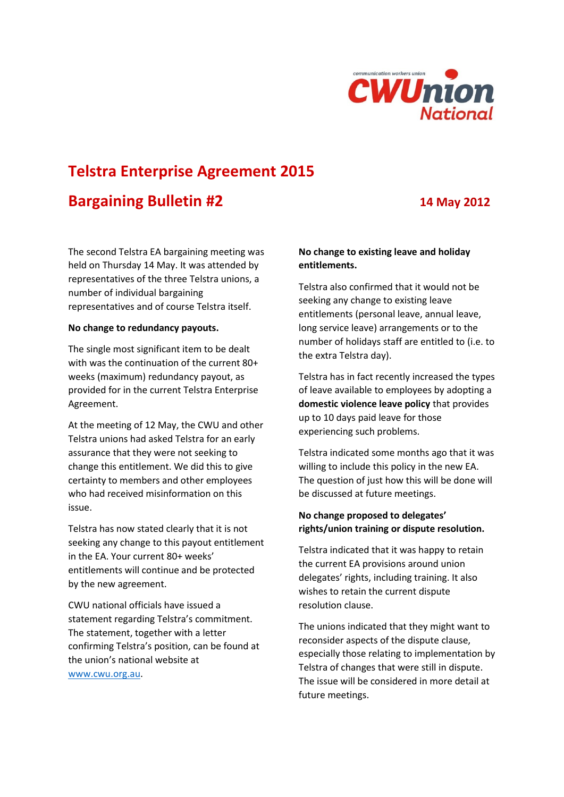

# **Telstra Enterprise Agreement 2015**

## **Bargaining Bulletin #2 14 May 2012**

The second Telstra EA bargaining meeting was held on Thursday 14 May. It was attended by representatives of the three Telstra unions, a number of individual bargaining representatives and of course Telstra itself.

#### **No change to redundancy payouts.**

The single most significant item to be dealt with was the continuation of the current 80+ weeks (maximum) redundancy payout, as provided for in the current Telstra Enterprise Agreement.

At the meeting of 12 May, the CWU and other Telstra unions had asked Telstra for an early assurance that they were not seeking to change this entitlement. We did this to give certainty to members and other employees who had received misinformation on this issue.

Telstra has now stated clearly that it is not seeking any change to this payout entitlement in the EA. Your current 80+ weeks' entitlements will continue and be protected by the new agreement.

CWU national officials have issued a statement regarding Telstra's commitment. The statement, together with a letter confirming Telstra's position, can be found at the union's national website at [www.cwu.org.au.](http://www.cwu.org.au/)

### **No change to existing leave and holiday entitlements.**

Telstra also confirmed that it would not be seeking any change to existing leave entitlements (personal leave, annual leave, long service leave) arrangements or to the number of holidays staff are entitled to (i.e. to the extra Telstra day).

Telstra has in fact recently increased the types of leave available to employees by adopting a **domestic violence leave policy** that provides up to 10 days paid leave for those experiencing such problems.

Telstra indicated some months ago that it was willing to include this policy in the new EA. The question of just how this will be done will be discussed at future meetings.

#### **No change proposed to delegates' rights/union training or dispute resolution.**

Telstra indicated that it was happy to retain the current EA provisions around union delegates' rights, including training. It also wishes to retain the current dispute resolution clause.

The unions indicated that they might want to reconsider aspects of the dispute clause, especially those relating to implementation by Telstra of changes that were still in dispute. The issue will be considered in more detail at future meetings.